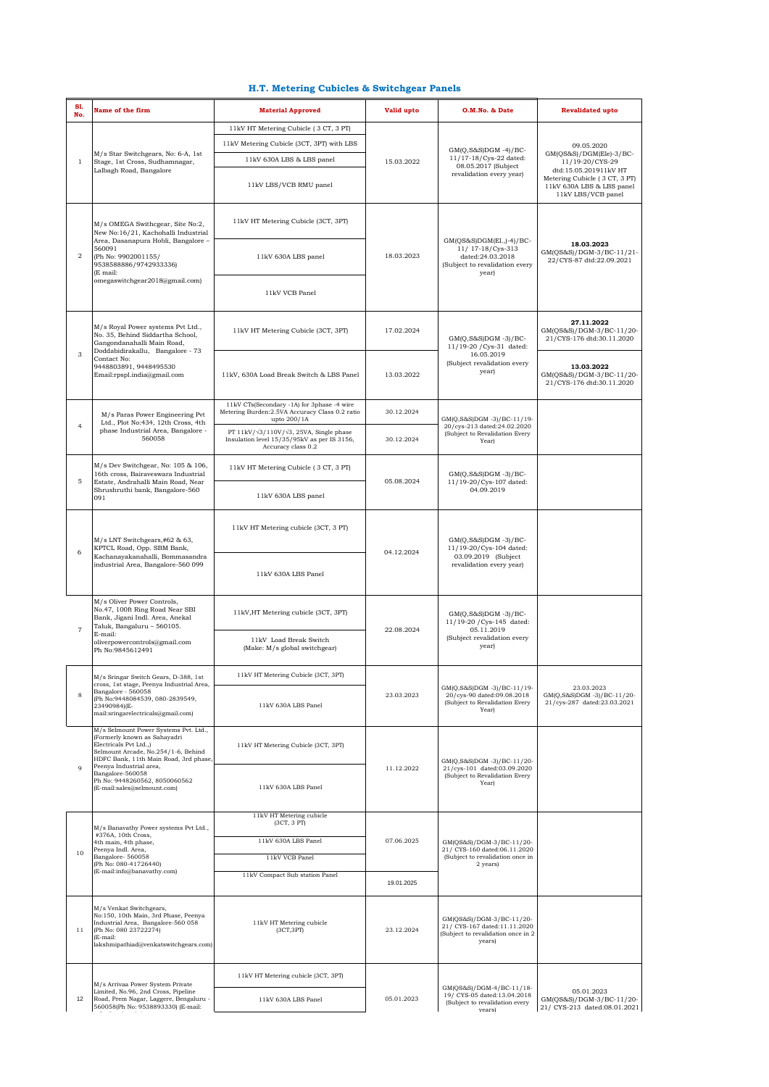## **H.T. Metering Cubicles & Switchgear Panels**

| S1.<br>No.     | Name of the firm                                                                                                                                                                                                                                                                               | <b>Material Approved</b>                                                                                                        | Valid upto | O.M.No. & Date                                                                                               | <b>Revalidated upto</b>                                                          |
|----------------|------------------------------------------------------------------------------------------------------------------------------------------------------------------------------------------------------------------------------------------------------------------------------------------------|---------------------------------------------------------------------------------------------------------------------------------|------------|--------------------------------------------------------------------------------------------------------------|----------------------------------------------------------------------------------|
|                |                                                                                                                                                                                                                                                                                                | 11kV HT Metering Cubicle (3 CT, 3 PT)                                                                                           | 15.03.2022 |                                                                                                              | 09.05.2020<br>$GM(QS&S)/DGM(Ele)-3/BC-$                                          |
|                |                                                                                                                                                                                                                                                                                                | 11kV Metering Cubicle (3CT, 3PT) with LBS                                                                                       |            |                                                                                                              |                                                                                  |
|                | M/s Star Switchgears, No: 6-A, 1st                                                                                                                                                                                                                                                             | 11kV 630A LBS & LBS panel                                                                                                       |            | $GM(O.S&S)DGM -4)/BC-$<br>11/17-18/Cys-22 dated:                                                             |                                                                                  |
| $\mathbf{1}$   | Stage, 1st Cross, Sudhamnagar,<br>Lalbagh Road, Bangalore                                                                                                                                                                                                                                      |                                                                                                                                 |            | 08.05.2017 (Subject                                                                                          | 11/19-20/CYS-29<br>dtd:15.05.201911kV HT                                         |
|                |                                                                                                                                                                                                                                                                                                | 11kV LBS/VCB RMU panel                                                                                                          |            | revalidation every year)                                                                                     | Metering Cubicle (3 CT, 3 PT)<br>11kV 630A LBS & LBS panel<br>11kV LBS/VCB panel |
| $\overline{2}$ | M/s OMEGA Swithcgear, Site No:2,<br>New No:16/21, Kachohalli Industrial<br>Area, Dasanapura Hobli, Bangalore -<br>560091<br>(Ph No: 9902001155/<br>9538588886/9742933336)<br>(E mail:<br>omegaswitchgear2018@gmail.com)                                                                        | 11kV HT Metering Cubicle (3CT, 3PT)                                                                                             | 18.03.2023 | GM(QS&S)DGM(El.,)-4)/BC-<br>11/ 17-18/Cys-313<br>dated:24.03.2018<br>(Subject to revalidation every<br>year) | 18.03.2023<br>GM(QS&S)/DGM-3/BC-11/21-<br>22/CYS-87 dtd:22.09.2021               |
|                |                                                                                                                                                                                                                                                                                                | 11kV 630A LBS panel                                                                                                             |            |                                                                                                              |                                                                                  |
|                |                                                                                                                                                                                                                                                                                                | 11kV VCB Panel                                                                                                                  |            |                                                                                                              |                                                                                  |
| 3              | M/s Royal Power systems Pvt Ltd.,<br>No. 35, Behind Siddartha School,<br>Gangondanahalli Main Road,<br>Doddabidirakallu, Bangalore - 73<br>Contact No:<br>9448803891.9448495530<br>Email:rpspl.india@gmail.com                                                                                 | 11kV HT Metering Cubicle (3CT, 3PT)                                                                                             | 17.02.2024 | $GM(Q, S&S)DGM -3)/BC-$<br>11/19-20 / Cys-31 dated:<br>16.05.2019<br>(Subject revalidation every<br>year)    | 27.11.2022<br>GM(QS&S)/DGM-3/BC-11/20-<br>21/CYS-176 dtd:30.11.2020              |
|                |                                                                                                                                                                                                                                                                                                | 11kV, 630A Load Break Switch & LBS Panel                                                                                        | 13.03.2022 |                                                                                                              | 13.03.2022<br>GM(QS&S)/DGM-3/BC-11/20-<br>21/CYS-176 dtd:30.11.2020              |
| $\overline{4}$ | M/s Paras Power Engineering Pvt<br>Ltd., Plot No:434, 12th Cross, 4th<br>phase Industrial Area, Bangalore -<br>560058                                                                                                                                                                          | 11kV CTs(Secondary -1A) for 3phase -4 wire<br>Metering Burden: 2.5VA Accuracy Class 0.2 ratio<br>upto 200/1A                    | 30.12.2024 | GM(Q,S&S)DGM -3)/BC-11/19-<br>20/cys-213 dated:24.02.2020<br>(Subject to Revalidation Every<br>Year)         |                                                                                  |
|                |                                                                                                                                                                                                                                                                                                | PT 11kV/ $\sqrt{3}$ /110V/ $\sqrt{3}$ , 25VA, Single phase<br>Insulation level 15/35/95kV as per IS 3156,<br>Accuracy class 0.2 | 30.12.2024 |                                                                                                              |                                                                                  |
| 5              | M/s Dev Switchgear, No: 105 & 106,<br>16th cross, Bairaveswara Industrial<br>Estate, Andrahalli Main Road, Near<br>Shrushruthi bank, Bangalore-560<br>091                                                                                                                                      | 11kV HT Metering Cubicle (3 CT, 3 PT)                                                                                           | 05.08.2024 | $GM(Q, S&S)DGM -3)/BC-$<br>11/19-20/Cys-107 dated:<br>04.09.2019                                             |                                                                                  |
|                |                                                                                                                                                                                                                                                                                                | 11kV 630A LBS panel                                                                                                             |            |                                                                                                              |                                                                                  |
| 6              | M/s LNT Switchgears,#62 & 63,<br>KPTCL Road, Opp. SBM Bank,<br>Kachanayakanahalli, Bommasandra<br>industrial Area, Bangalore-560 099                                                                                                                                                           | 11kV HT Metering cubicle (3CT, 3 PT)                                                                                            | 04.12.2024 | $GM(Q, S&S)DGM -3)/BC-$<br>11/19-20/Cys-104 dated:<br>03.09.2019 (Subject<br>revalidation every year)        |                                                                                  |
|                |                                                                                                                                                                                                                                                                                                | 11kV 630A LBS Panel                                                                                                             |            |                                                                                                              |                                                                                  |
| $\overline{7}$ | M/s Oliver Power Controls,<br>No.47, 100ft Ring Road Near SBI<br>Bank, Jigani Indl. Area, Anekal<br>Taluk, Bangaluru - 560105.<br>E-mail:<br>oliverpowercontrols@gmail.com<br>Ph No: 9845612491                                                                                                | 11kV, HT Metering cubicle (3CT, 3PT)                                                                                            | 22.08.2024 | $GM(Q,S&S)DGM -3)/BC-$<br>11/19-20 / Cys-145 dated:<br>05.11.2019<br>(Subject revalidation every<br>year)    |                                                                                  |
|                |                                                                                                                                                                                                                                                                                                | 11kV Load Break Switch<br>(Make: M/s global switchgear)                                                                         |            |                                                                                                              |                                                                                  |
|                | M/s Sringar Switch Gears, D-388, 1st<br>cross, 1st stage, Peenya Industrial Area,<br>Bangalore - 560058<br>(Ph No:9448084539, 080-2839549,<br>23490984)(E-<br>mail:sringarelectricals@gmail.com)                                                                                               | 11kV HT Metering Cubicle (3CT, 3PT)                                                                                             | 23.03.2023 | GM(Q,S&S)DGM-3)/BC-11/19-<br>20/cys-90 dated:09.08.2018<br>(Subject to Revalidation Every<br>Year)           | 23.03.2023<br>GM(Q,S&S)DGM -3)/BC-11/20-<br>21/cys-287 dated:23.03.2021          |
| 8              |                                                                                                                                                                                                                                                                                                | 11kV 630A LBS Panel                                                                                                             |            |                                                                                                              |                                                                                  |
| 9              | M/s Selmount Power Systems Pvt. Ltd.,<br>(Formerly known as Sahayadri<br>Electricals Pvt Ltd.,)<br>Selmount Arcade, No.254/1-6, Behind<br>HDFC Bank, 11th Main Road, 3rd phase,<br>Peenya Industrial area,<br>Bangalore-560058<br>Ph No: 9448260562, 8050060562<br>(E-mail:sales@selmount.com) | 11kV HT Metering Cubicle (3CT, 3PT)                                                                                             | 11.12.2022 | GM(Q,S&S)DGM -3)/BC-11/20-<br>21/cys-101 dated:03.09.2020<br>(Subject to Revalidation Every<br>Year)         |                                                                                  |
|                |                                                                                                                                                                                                                                                                                                | 11kV 630A LBS Panel                                                                                                             |            |                                                                                                              |                                                                                  |
| 10             | M/s Banavathy Power systems Pvt Ltd.,<br>#376A, 10th Cross,<br>4th main, 4th phase,<br>Peenya Indl. Area,<br>Bangalore-560058<br>(Ph No: 080-41726440)<br>(E-mail:info@banavathy.com)                                                                                                          | 11kV HT Metering cubicle<br>(3CT, 3PT)                                                                                          | 07.06.2025 | GM(QS&S)/DGM-3/BC-11/20-<br>21/ CYS-160 dated:06.11.2020<br>(Subject to revalidation once in<br>2 years)     |                                                                                  |
|                |                                                                                                                                                                                                                                                                                                | 11kV 630A LBS Panel                                                                                                             |            |                                                                                                              |                                                                                  |
|                |                                                                                                                                                                                                                                                                                                | 11kV VCB Panel                                                                                                                  |            |                                                                                                              |                                                                                  |
|                |                                                                                                                                                                                                                                                                                                | 11kV Compact Sub station Panel                                                                                                  | 19.01.2025 |                                                                                                              |                                                                                  |
|                |                                                                                                                                                                                                                                                                                                |                                                                                                                                 |            |                                                                                                              |                                                                                  |
| 11             | M/s Venkat Switchgears,<br>No:150, 10th Main, 3rd Phase, Peenya<br>Industrial Area, Bangalore-560 058<br>(Ph No: 080 23722274)<br>(E-mail:<br>lakshmipathiad@venkatswitchgears.com)                                                                                                            | 11kV HT Metering cubicle<br>(3CT,3PT)                                                                                           | 23.12.2024 | GM(QS&S)/DGM-3/BC-11/20-<br>21/ CYS-167 dated:11.11.2020<br>(Subject to revalidation once in 2<br>years)     |                                                                                  |
| 12             | M/s Arrivaa Power System Private<br>Limited, No.96, 2nd Cross, Pipeline<br>Road, Prem Nagar, Laggere, Bengaluru -<br>560058(Ph No: 9538893330) (E-mail:                                                                                                                                        | 11kV HT Metering cubicle (3CT, 3PT)                                                                                             | 05.01.2023 | GM(QS&S)/DGM-4/BC-11/18-<br>19/ CYS-05 dated:13.04.2018<br>(Subject to revalidation every<br>vears)          |                                                                                  |
|                |                                                                                                                                                                                                                                                                                                | 11kV 630A LBS Panel                                                                                                             |            |                                                                                                              | 05.01.2023<br>GM(QS&S)/DGM-3/BC-11/20-<br>21/ CYS-213 dated:08.01.2021           |
|                |                                                                                                                                                                                                                                                                                                |                                                                                                                                 |            |                                                                                                              |                                                                                  |